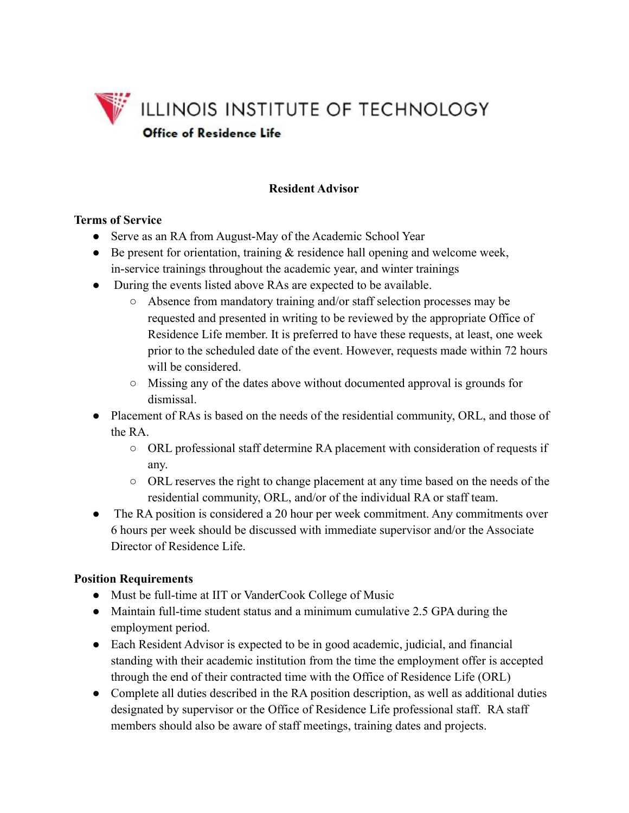

## **Resident Advisor**

#### **Terms of Service**

- Serve as an RA from August-May of the Academic School Year
- Be present for orientation, training  $\&$  residence hall opening and welcome week, in-service trainings throughout the academic year, and winter trainings
- During the events listed above RAs are expected to be available.
	- Absence from mandatory training and/or staff selection processes may be requested and presented in writing to be reviewed by the appropriate Office of Residence Life member. It is preferred to have these requests, at least, one week prior to the scheduled date of the event. However, requests made within 72 hours will be considered.
	- Missing any of the dates above without documented approval is grounds for dismissal.
- Placement of RAs is based on the needs of the residential community, ORL, and those of the RA.
	- ORL professional staff determine RA placement with consideration of requests if any.
	- ORL reserves the right to change placement at any time based on the needs of the residential community, ORL, and/or of the individual RA or staff team.
- The RA position is considered a 20 hour per week commitment. Any commitments over 6 hours per week should be discussed with immediate supervisor and/or the Associate Director of Residence Life.

### **Position Requirements**

- Must be full-time at IIT or VanderCook College of Music
- Maintain full-time student status and a minimum cumulative 2.5 GPA during the employment period.
- Each Resident Advisor is expected to be in good academic, judicial, and financial standing with their academic institution from the time the employment offer is accepted through the end of their contracted time with the Office of Residence Life (ORL)
- Complete all duties described in the RA position description, as well as additional duties designated by supervisor or the Office of Residence Life professional staff. RA staff members should also be aware of staff meetings, training dates and projects.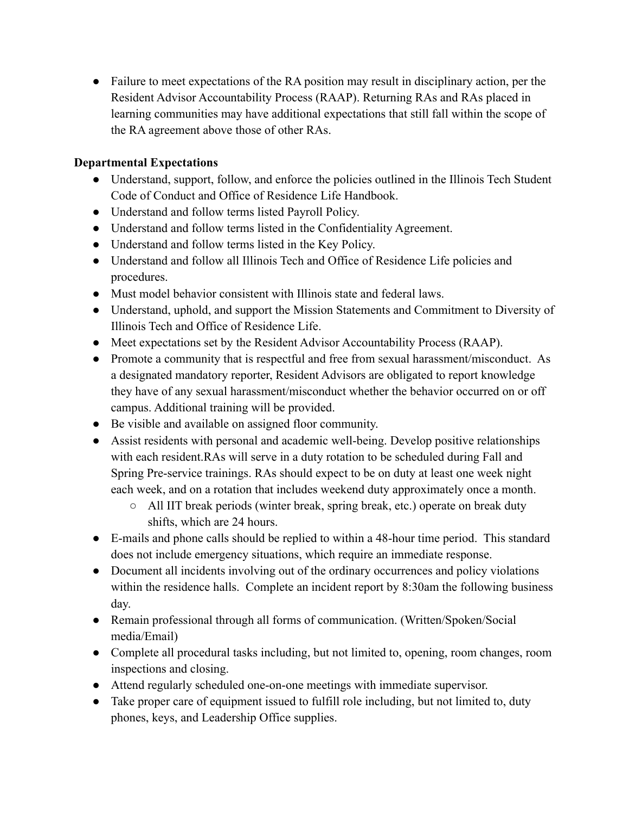• Failure to meet expectations of the RA position may result in disciplinary action, per the Resident Advisor Accountability Process (RAAP). Returning RAs and RAs placed in learning communities may have additional expectations that still fall within the scope of the RA agreement above those of other RAs.

# **Departmental Expectations**

- Understand, support, follow, and enforce the policies outlined in the Illinois Tech Student Code of Conduct and Office of Residence Life Handbook.
- Understand and follow terms listed Payroll Policy.
- Understand and follow terms listed in the Confidentiality Agreement.
- Understand and follow terms listed in the Key Policy.
- Understand and follow all Illinois Tech and Office of Residence Life policies and procedures.
- Must model behavior consistent with Illinois state and federal laws.
- Understand, uphold, and support the Mission Statements and Commitment to Diversity of Illinois Tech and Office of Residence Life.
- Meet expectations set by the Resident Advisor Accountability Process (RAAP).
- Promote a community that is respectful and free from sexual harassment/misconduct. As a designated mandatory reporter, Resident Advisors are obligated to report knowledge they have of any sexual harassment/misconduct whether the behavior occurred on or off campus. Additional training will be provided.
- Be visible and available on assigned floor community.
- Assist residents with personal and academic well-being. Develop positive relationships with each resident.RAs will serve in a duty rotation to be scheduled during Fall and Spring Pre-service trainings. RAs should expect to be on duty at least one week night each week, and on a rotation that includes weekend duty approximately once a month.
	- All IIT break periods (winter break, spring break, etc.) operate on break duty shifts, which are 24 hours.
- E-mails and phone calls should be replied to within a 48-hour time period. This standard does not include emergency situations, which require an immediate response.
- Document all incidents involving out of the ordinary occurrences and policy violations within the residence halls. Complete an incident report by 8:30am the following business day.
- Remain professional through all forms of communication. (Written/Spoken/Social media/Email)
- Complete all procedural tasks including, but not limited to, opening, room changes, room inspections and closing.
- Attend regularly scheduled one-on-one meetings with immediate supervisor.
- Take proper care of equipment issued to fulfill role including, but not limited to, duty phones, keys, and Leadership Office supplies.